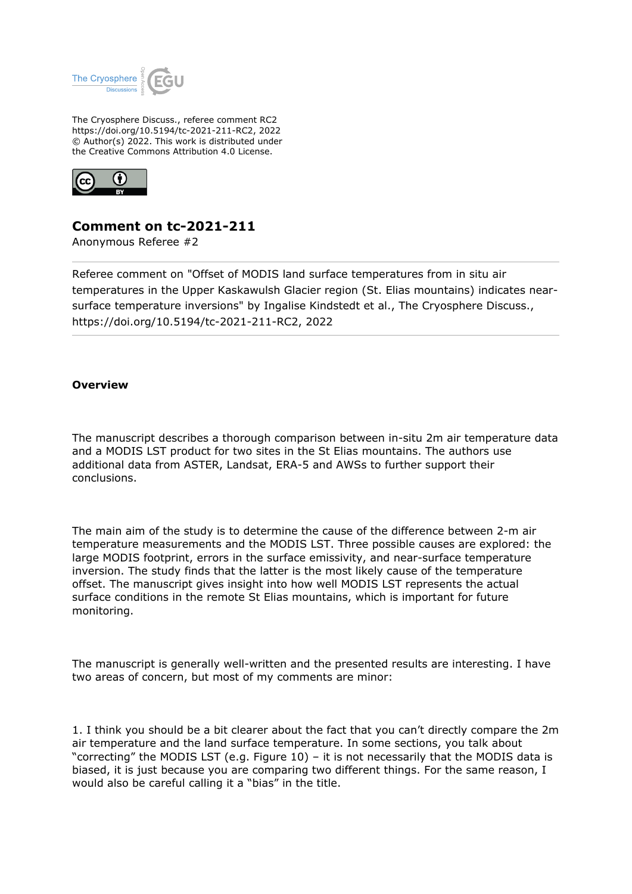

The Cryosphere Discuss., referee comment RC2 https://doi.org/10.5194/tc-2021-211-RC2, 2022 © Author(s) 2022. This work is distributed under the Creative Commons Attribution 4.0 License.



## **Comment on tc-2021-211**

Anonymous Referee #2

Referee comment on "Offset of MODIS land surface temperatures from in situ air temperatures in the Upper Kaskawulsh Glacier region (St. Elias mountains) indicates nearsurface temperature inversions" by Ingalise Kindstedt et al., The Cryosphere Discuss., https://doi.org/10.5194/tc-2021-211-RC2, 2022

## **Overview**

The manuscript describes a thorough comparison between in-situ 2m air temperature data and a MODIS LST product for two sites in the St Elias mountains. The authors use additional data from ASTER, Landsat, ERA-5 and AWSs to further support their conclusions.

The main aim of the study is to determine the cause of the difference between 2-m air temperature measurements and the MODIS LST. Three possible causes are explored: the large MODIS footprint, errors in the surface emissivity, and near-surface temperature inversion. The study finds that the latter is the most likely cause of the temperature offset. The manuscript gives insight into how well MODIS LST represents the actual surface conditions in the remote St Elias mountains, which is important for future monitoring.

The manuscript is generally well-written and the presented results are interesting. I have two areas of concern, but most of my comments are minor:

1. I think you should be a bit clearer about the fact that you can't directly compare the 2m air temperature and the land surface temperature. In some sections, you talk about "correcting" the MODIS LST (e.g. Figure 10) – it is not necessarily that the MODIS data is biased, it is just because you are comparing two different things. For the same reason, I would also be careful calling it a "bias" in the title.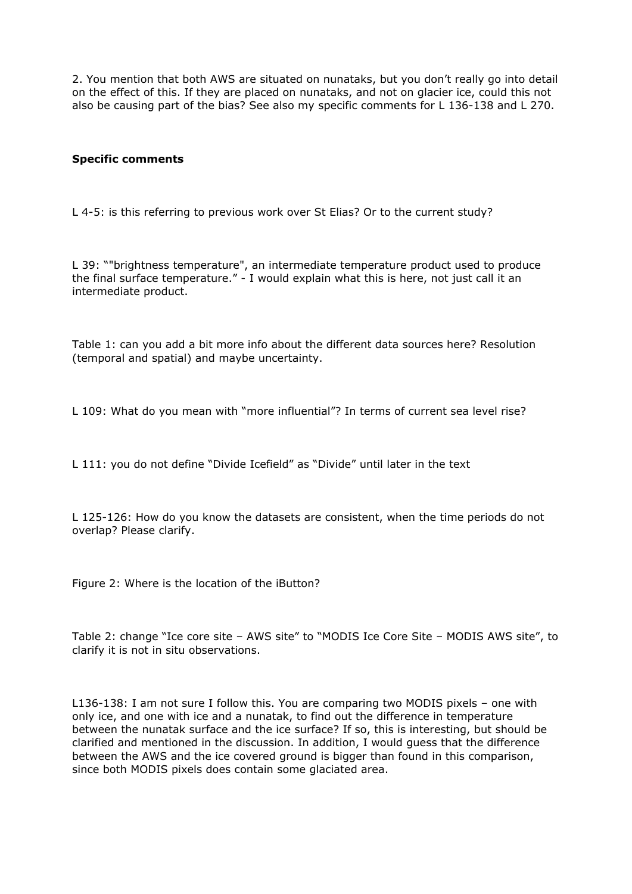2. You mention that both AWS are situated on nunataks, but you don't really go into detail on the effect of this. If they are placed on nunataks, and not on glacier ice, could this not also be causing part of the bias? See also my specific comments for L 136-138 and L 270.

## **Specific comments**

L 4-5: is this referring to previous work over St Elias? Or to the current study?

L 39: ""brightness temperature", an intermediate temperature product used to produce the final surface temperature." - I would explain what this is here, not just call it an intermediate product.

Table 1: can you add a bit more info about the different data sources here? Resolution (temporal and spatial) and maybe uncertainty.

L 109: What do you mean with "more influential"? In terms of current sea level rise?

L 111: you do not define "Divide Icefield" as "Divide" until later in the text

L 125-126: How do you know the datasets are consistent, when the time periods do not overlap? Please clarify.

Figure 2: Where is the location of the iButton?

Table 2: change "Ice core site – AWS site" to "MODIS Ice Core Site – MODIS AWS site", to clarify it is not in situ observations.

L136-138: I am not sure I follow this. You are comparing two MODIS pixels – one with only ice, and one with ice and a nunatak, to find out the difference in temperature between the nunatak surface and the ice surface? If so, this is interesting, but should be clarified and mentioned in the discussion. In addition, I would guess that the difference between the AWS and the ice covered ground is bigger than found in this comparison, since both MODIS pixels does contain some glaciated area.